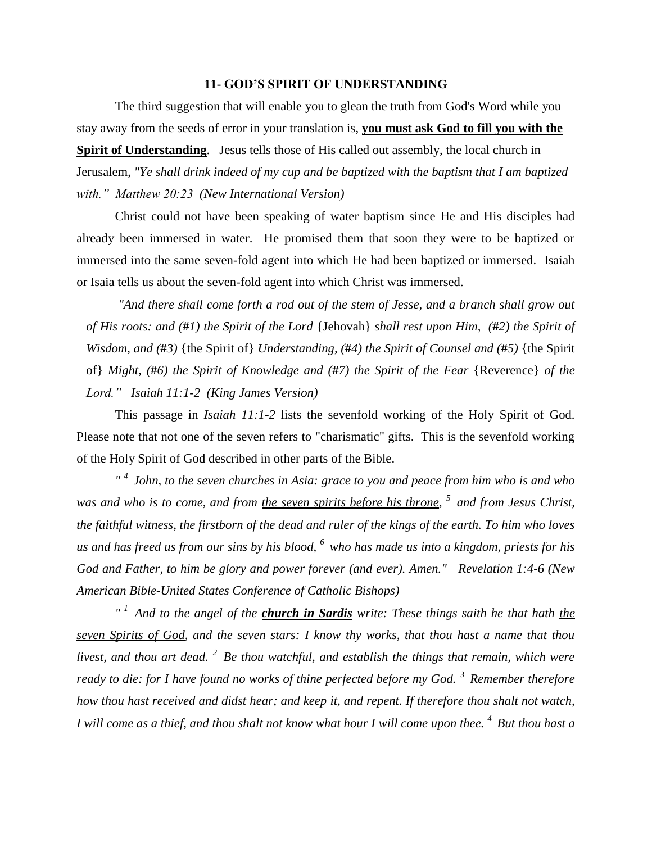## **11- GOD'S SPIRIT OF UNDERSTANDING**

The third suggestion that will enable you to glean the truth from God's Word while you stay away from the seeds of error in your translation is, **you must ask God to fill you with the Spirit of Understanding**. Jesus tells those of His called out assembly, the local church in Jerusalem, *"Ye shall drink indeed of my cup and be baptized with the baptism that I am baptized with." Matthew 20:23 (New International Version)* 

Christ could not have been speaking of water baptism since He and His disciples had already been immersed in water. He promised them that soon they were to be baptized or immersed into the same seven-fold agent into which He had been baptized or immersed. Isaiah or Isaia tells us about the seven-fold agent into which Christ was immersed.

*"And there shall come forth a rod out of the stem of Jesse, and a branch shall grow out of His roots: and (***#***1) the Spirit of the Lord* {Jehovah} *shall rest upon Him, (***#***2) the Spirit of Wisdom, and (***#***3)* {the Spirit of} *Understanding, (***#***4) the Spirit of Counsel and (***#***5)* {the Spirit of} *Might, (***#***6) the Spirit of Knowledge and (***#***7) the Spirit of the Fear* {Reverence} *of the Lord." Isaiah 11:1-2 (King James Version)*

This passage in *Isaiah 11:1-2* lists the sevenfold working of the Holy Spirit of God. Please note that not one of the seven refers to "charismatic" gifts. This is the sevenfold working of the Holy Spirit of God described in other parts of the Bible.

*" <sup>4</sup>John, to the seven churches in Asia: grace to you and peace from him who is and who*  was and who is to come, and from <u>the seven spirits before his throne</u>, <sup>5</sup> and from Jesus Christ, *the faithful witness, the firstborn of the dead and ruler of the kings of the earth. To him who loves us and has freed us from our sins by his blood, <sup>6</sup>who has made us into a kingdom, priests for his God and Father, to him be glory and power forever (and ever). Amen." Revelation 1:4-6 (New American Bible-United States Conference of Catholic Bishops)*

*" <sup>1</sup>And to the angel of the church in Sardis write: These things saith he that hath the seven Spirits of God, and the seven stars: I know thy works, that thou hast a name that thou livest, and thou art dead. <sup>2</sup>Be thou watchful, and establish the things that remain, which were ready to die: for I have found no works of thine perfected before my God. <sup>3</sup>Remember therefore how thou hast received and didst hear; and keep it, and repent. If therefore thou shalt not watch, I will come as a thief, and thou shalt not know what hour I will come upon thee. <sup>4</sup>But thou hast a*